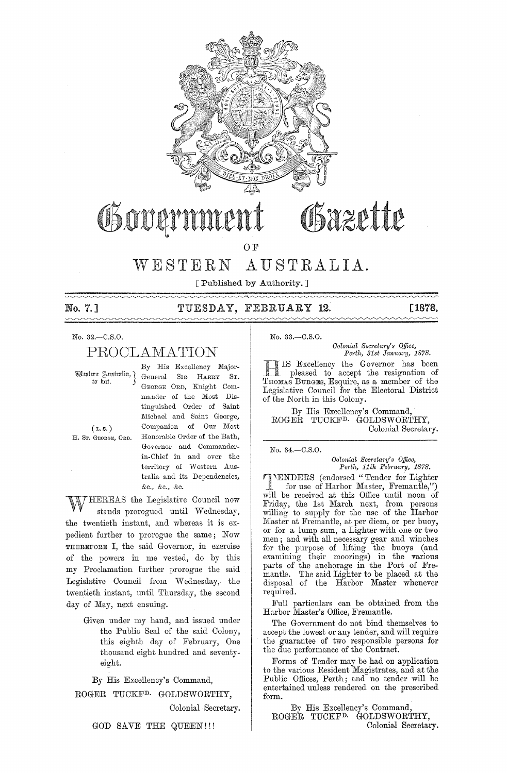

# OSazette Gover

O<sub>F</sub>

# WESTERN AUSTRALIA.

[Published by Authority.]

## No. 7.] TUESDAY, FEBRUARY **12. [1878.**

### No. 32.-C.S.O. No. 33.-C.S.O.

# PROOLAMATION

By His Excellency Major- Western Australia, General SIR HARRY ST. GEORGE ORD, Knight Commander of the Most Distinguished Order of Saint Michael and Saint George, ( L. s. ) Companion of Our Most H. Sr. GEORGE, ORD. Honorable Order of the Bath, Governor and Commanderin-Chief in and over the territory of Western Australia and its Dependencies, &c., &c., &c.

HEREAS the Legislative Council now stands prorogued until Wednesday, the twentieth instant, and whereas it is expedient further to prorogue the same; Now THEREFORE I, the said Governor, in exercise of the powers in me vested, do by this my Proclamation further prorogue the said Legislative Council from Wednesday, the twentieth instant, until Thursday, the second day of May, next ensuing.

> Given under my hand, and issued under the Public Seal of the said Colony, this eighth day of February, One thousand eight hundred and seventyeight.

By His Excellency's Command,

ROGER TUCKFD. GOLDSWORTHY,

Colonial Secretary.

GOD SAVE THE QUEEN!!!

*Colonial Sec?'etary's o.ffice, Perth, 31st Janum'y, 1878.* 

IS Excellency the Governor has been pleased to accept the resignation of THOMAS BURGES, Esquire, as a member of the Legislative Council for the Electoral District of the North in this Colony.

By His Excellency's Command, ROGER TUCKFD. GOLDSWORTHY, Colonial Secretary.

No. 34.-C.S.O.

*Colonial Secretary's Office,*<br>Perth, 11th February, 1878.

'ENDERS (endorsed "Tender for Lighter for use of Harbor Master, Fremantle,") will be reeeived at this Office until noon of Friday, the 1st March next, from persons willing to supply for the use of the Harbor Master at Fremantle, at per diem, or per buoy, or for a lump sum, a Lighter with one or two men; and with all necessary gear and winches for the purpose of lifting the buoys (and examining their moorings) in the various parts of the anehorage in the Port of Fremantle. The said Lighter to be placed at the disposal of the Harbor Master whenever required.

Full particulars can be obtained from the Harbor Master's Office, Fremantle.

The Government do not bind themselves to accept the lowest or any tender, and will require the guarantee of two responsible persons for the due performance of the Contract.

Forms of Tender may be had on application to the various Resident Magistrates, and at the Public Offices, Perth; and no tender will be entertained unless rendered on the prescribed form.

By His Excellency's Command, ROGER TUCKFD. GOLDSWORTHY, Colonial Secretary.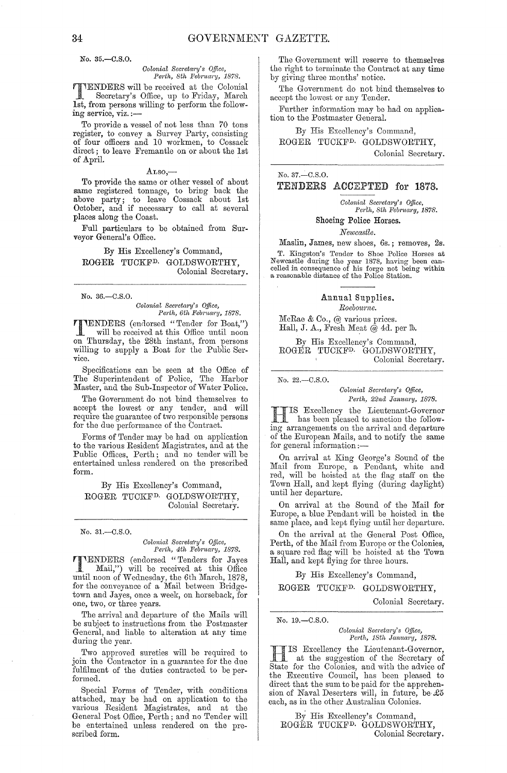No. 35.-C.S.O.

#### *Oolonial Secretary's Office, Perth, 8th February, 1878.*

TENDERS will be received at the Colonial Secretary's Office, up to Friday, March 1st, from persons willing to perform the following service, viz. :-

To provide a vessel of not less than 70 tons register, to convey a Survey Party, consisting of four officers and 10 workmen, to Cossack direct; to leave Fremantle on or about the 1st of April.

#### $\text{Atso},$

To provide the same or other vessel of about same registered tonnage, to bring back the above party; to leave Cossack about 1st October, and if necessary to call at several places along the Coast.

Full particulars to be obtained from Surveyor General's Office.

By His Excellency's Command, ROGER TUCKED. GOLDSWORTHY, Colonial Secretary.

No. 36.-C.S.0.

*Oolonial Secretm'y's o.tlice, Perth, 6th Feb",ta"y, 1878.* 

**THENDERS** (endorsed "Tender for Boat,")<br>will be received at this Office until noon will be received at this Office until noon on Thursday, the 28th instant, from persons willing to supply a Boat for the Public Service.

Specifications can be seen at the Office of The Superintendent of Police, The Harbor Master, and the Sub-Inspector of Water Police.

The Government do not bind themselves to accept the lowest or any tender, and will require the guarantee of two responsible persons for the due performance of the Contract.

Forms of Tender may be had on application to the various Residcnt Magistrates, and at the Public Offices, Perth; and no tender will be entertained unless rendered on the prescribed form.

By His Excellency's Command, ROGER TUCKFD. GOLDSWORTHY, Colonial Secretary.

No. 31.-C.S.O.

*Oolonial Secreta\'Y's Office, Pel'lh, 4th Feb"nary, 1878.* 

**TENDERS** (endorsed "Tenders for Jayes<br>Mail,") will be received at this Office until noon of Wednesday, the 6th March, 1878, for the conveyance of a Mail between Bridgetown and Jayes, once a week, on horseback, for one, two, or three years.

The arrival and departure of the Mails will be subject to instructions from the Postmaster General, and liable to alteration at any time during the year.

Two approved sureties will be required to join the Contractor in a guarantee for the due fulfilment of the duties contracted to be performed.

Special Forms of Tender, with conditions attached, may be had on application to the various Resident Magistrates, and at the General Post Office, Perth; and no Tender will be entertained unless rendered on the prescribed form.

The Government will reserve to themselves the right to terminate the Contract at any time by giving three months' notice.

The Government do not bind themselves to accept the lowest or any Tender.

Further information may be had on application to the Postmaster General.

By His Excellency's Command, ROGER TUOKFD. GOLDSWORTHY,

Colonial Secretary.

No. 37.~C.S.0.

## TENDERS ACCEPTED for 1878.

*Oolonial Secl'eta,'Y's Office, Perth, 8th Febl'Ua,'Y, 1878.* 

#### Shoeing Police Horses.

### *Newcastle.*

Maslin, James, new shoes, 6s.; removes, 2s. T. Kingston's Tender to Shoe Police Horses at Newcastle during the year 1878, having been can-celled in consequence of his forge not being within a reasonable distance of the Police Station.

### Annual Supplies. *Roeboume.*

McRae & Co., @ various prices. Hall, J. A., Fresh Meat @ 4d. per fb.

By His Excellency's Oommand, ROGER TUOKFD. GOLDSWORTHY, Oolonial Secretary.

No. 22.-C.S.O.

*Oolonial Secl'etm'Y's o.tlice, Perth, 22nd January, 1878.* 

H IS Excellency the Lieutenant-Governor<br>has been pleased to sanction the followhas been pleased to sanction the following arrangements on the arrival and departure of the European Mails, and to notify the same for general information:-

On arrival at King George's Sound of the Mail from Europe, a Pendant, white and red, will be hoisted at the flag staff on the Town Hall, and kept flying (during daylight) until her departure.

On arrival at the Sound of the Mail for Europe, a blue Pendant will be hoisted in the same place, and kept flying until her departure.

On the arrival at the General Post Office, Perth, of the Mail from Europe or the Colonies, a square red flag will be hoisted at the Town Hall, and kept flying for three hours.

By His Excellency's Command,

ROGER TUCKFD. GOLDSWORTHY,

Colonial Secretary.

No. 19.-C.S.O.

 $Colonial$  Secretary's Office, Perth, 18th January, 1878.

H IS Excellency the Lieutenant-Governor, at the suggestion of the Secretary of State for the Colonies, and with the advice of the Executive Council, has been pleased to direct that the sum to be paid for the apprehension of Naval Deserters will, in future, be  $£5$ each, as in the other Australian Colonies,

By His Excellency's Command, ROGER TUCKFD. GOLDSWORTHY, Colonial Secretary.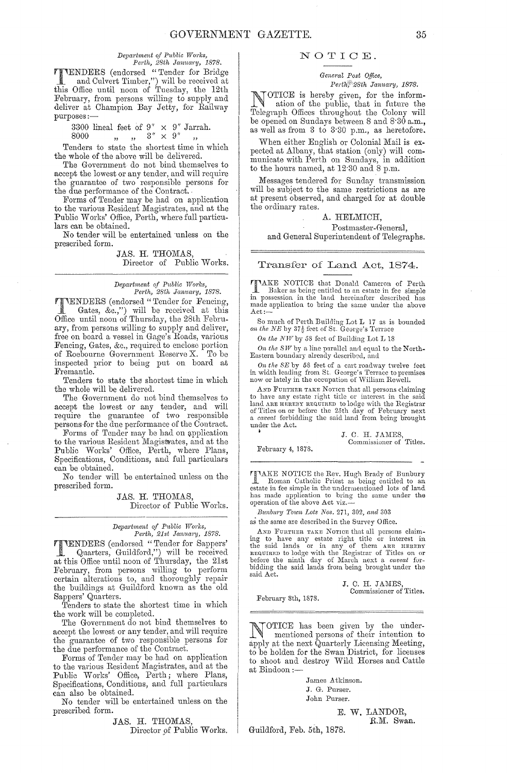$Department of Public Works,$ *Perth, 28th Jamuo'Y, 1878.* 

TENDERS (endorsed "Tender for Bridge and Culvert Timber,") will be received at this Office until noon of Tuesday, the 12th February, from persons willing to supply and deliver at Champion Bay Jetty, for Railway purposes:-

3300 lineal feet of  $9'' \times 9''$  Jarrah.<br>
8000  $\qquad \ldots \qquad 3'' \times 9''$   $\ldots$ <br>
Tenders to state the shortest time in which

the whole of the above will be delivered.

The Government do not bind themselves to accept the lowest or any tender, and will require the guarantee of two responsible persons for the due performance of the Contract. '

Forms of Tender may be had on application to the various Resident Magistrates, and at the Public Works' Office, Perth, where full particulars can be obtained.

No tender will be entertained 'unless on the prescribed form.

> JAS. H. THOMAS, Director of Public Works.

# *Department of Public Works,*<br>Perth, 28th January, 1878.

**TTENDERS** (endorsed "Tender for Fencing, Gates. &c..") will be received at this Gates, &c.,") will be received at this Office until noon of Thursday, the 28th February, from persons willing to supply and deliver, free on board a vessel in Gage's Roads, various Fencing, Gates, &c., required to enclose portion of Roebourne Government Reserve X. To be inspected prior to beiug put on board at Fremantle.

Tenders to state the shortest time in which the whole will be delivered.

The Government do not bind themselves to accept the lowest or any tender, and will require the guarantee of two responsible persons·for the due performance of the Contract.

Forms of Tender may be had on application to the various Resident Magistrates, and at the Public Works' Office, Perth, where Plans, Specifications, Conditions, and full particulars can be obtained.

No tender will be entertained unless on the prescribed form.

> JAS. H. THOMAS, Director of Public Works.

# *Department of Public Works,*<br> *Perth, 21st January, 1878.*

**TTENDERS** (endorsed "Tender for Sappers' Quarters, Guildford.") will be received Quarters, Guildford,") will be received at this Office until noon of Thursday, the 21st February, from persons willing to perform certain alterations to, and thoroughly repair the buildings at Guildford known as the old Sappers' Quarters.

Tenders to state the shortest time in which the work will be completed.

The Government do not bind themselves to accept the lowest or any tender, and will require the guarantee of two responsible persons for the due performance of the Contract.

Forms of Tender may be had on application to the various Resident Magistrates, and at the Public Works' Office, Perth; where Plans, Specifications, Conditions, and full particulars can also be obtained.

No tender will be entertained unless on the prescribed form.

JAS. H. THOMAS,

Director pf Public Works.

### NOTIOE.

*General Post Office, Perth*, 28th January, 1878.

NOTICE is hereby given, for the information of the public, that in future the Telegraph Offices throughout the Colony will Telegraph Offices throughout the Colony will be opened on Sundays between 8 and 8'30 a.m., as well as from 3 to 3'30 p.m., as heretofore.

When either English or Colonial Mail is expected at Albany, that station (only) will communicate with Perth on Sundays, in addition to the hours named, at  $12.30$  and  $8$  p.m.

Messages tendered for Sunday transmission will be subject to the same restrictions as are at present observed, and charged for at double the ordinary rates.

### A. HELMICH,

Postmaster-General, and General Superintendent of Telegraphs.

Transfer of Land Act, 1874.

TTAKE NOTICE that Donald Cameron of Perth<br>Baker as being entitled to an activities Baker as being entitled to an estate in fee simple in possession in the land hereinafter described has made application to bring the same under the above Act:-

So much of Perth Building Lot L 17 as is bounded on the NE by  $37\frac{1}{2}$  feet of St. George's Terrace

*On the NW* by 58 feet of Building Lot L 18

On the SW by a line parallel and equal to the North-<br>Eastern boundary already described, and

*On the SE* by 58 feet of a cart roadway twelve feet in width leading from St. George's Terrace to premises now or lately in the occupation of William Rewell.

AND FURTHER TAKE NOTICE that all persons claiming to have any estate right title or interest in the said land ARE HEREBY REQUIRED to lodge with the Registrar<br>of Titles on or before the 25th day of February next<br>a *careat* forbidding the said land from being brought under the Act.

<sup>3</sup><br>
I. C. H. JAMES,<br>
Commissioner of Titles.

February 4, 1878.

TIAKE NOTICE the Rev. Hugh Brady of Bunbury <u>H</u> Roman Catholic Priest as being entitled to an estate in fee simple in the undermentioned lots of land has made application to bring the same under the operation of the above Act viz.—

*Bunbury Town Lots Nos.* 271, 302, *and 303* 

as the same are described in the Survey Office.

AND FURTHER TAKE NOTICE that all persons claiming to have any estate right title or interest in<br>the said lands or in any of them ARE HEREBY<br>REQUIRED to lodge with the Registrar of Titles on or<br>before the ninth day of March next a *caveal* for-<br>bidding the said lands f said Act.

> J. C. H. JAMES Commissioner of Titles.

February 8th, 1878.

NOTICE has been given by the undermentioned persons of their intention to apply at the next Quarterly Licensing Meeting, to be holden for the Swan District, for licenses to shoot and destroy Wild Horses and Cattle at Bindoon :-

> James Atkinson. J. G. Purser. John Purser.

> > E. **W.** LANDOR, R.M. Swan.

Guildford, Feb. 5th, 1878.